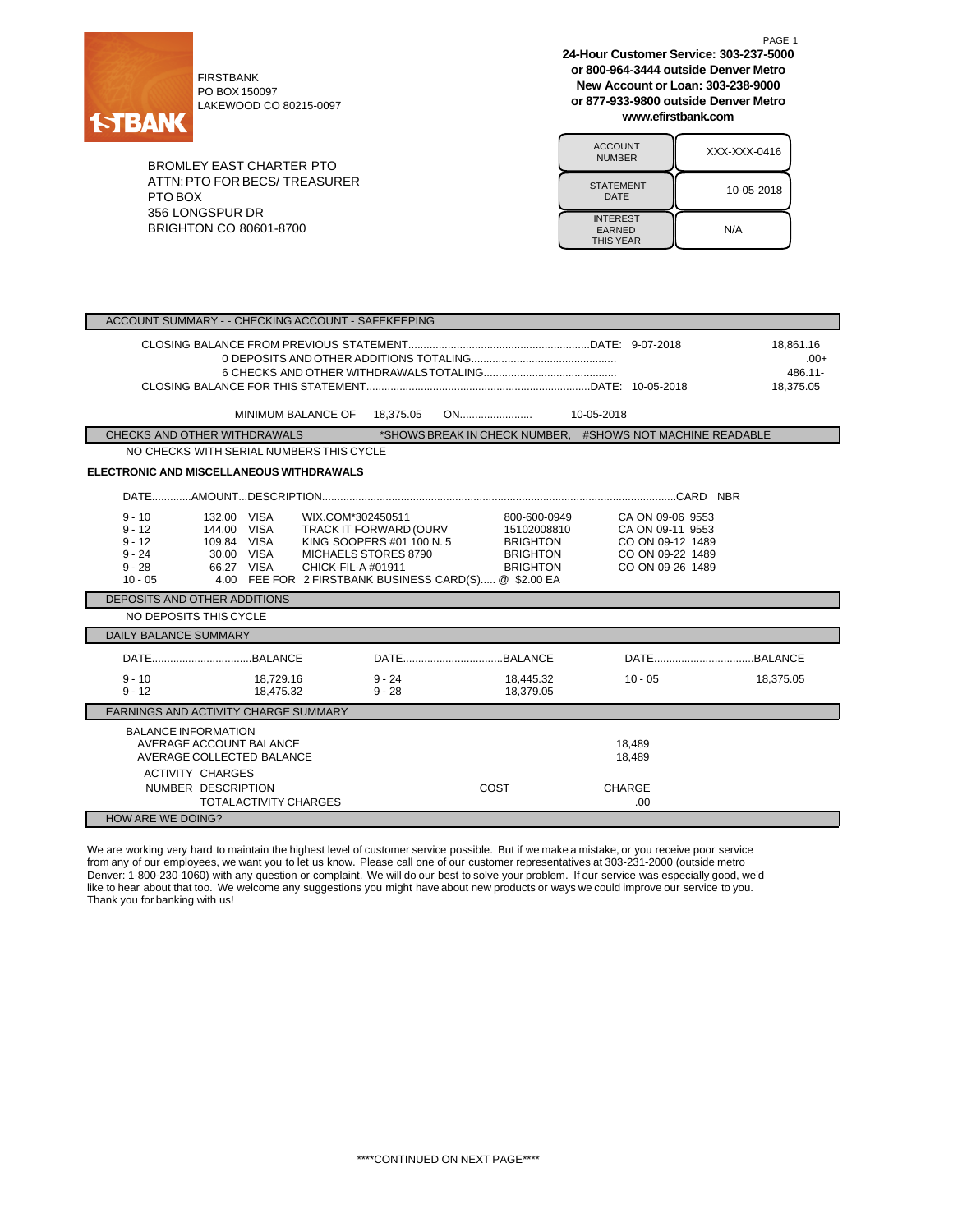

FIRSTBANK PO BOX 150097 LAKEWOOD CO 80215-0097

BROMLEY EAST CHARTER PTO ATTN:PTO FOR BECS/ TREASURER PTO BOX 356 LONGSPUR DR BRIGHTON CO 80601-8700

**24-Hour Customer Service: 303-237-5000 or 800-964-3444 outside Denver Metro New Account or Loan: 303-238-9000 or 877-933-9800 outside Denver Metro www.efirstbank.com**

PAGE 1

| <b>ACCOUNT</b><br><b>NUMBER</b>                      | XXX-XXX-0416 |
|------------------------------------------------------|--------------|
| <b>STATEMENT</b><br>DATE                             | 10-05-2018   |
| <b>INTEREST</b><br><b>EARNED</b><br><b>THIS YEAR</b> | N/A          |

| ACCOUNT SUMMARY - - CHECKING ACCOUNT - SAFEKEEPING                                                                                                                                        |                                                                                                                                                                                                                              |                                                                                                  |                                |  |  |  |
|-------------------------------------------------------------------------------------------------------------------------------------------------------------------------------------------|------------------------------------------------------------------------------------------------------------------------------------------------------------------------------------------------------------------------------|--------------------------------------------------------------------------------------------------|--------------------------------|--|--|--|
|                                                                                                                                                                                           |                                                                                                                                                                                                                              |                                                                                                  | 18,861.16<br>$.00+$<br>486.11- |  |  |  |
|                                                                                                                                                                                           |                                                                                                                                                                                                                              |                                                                                                  | 18,375.05                      |  |  |  |
| MINIMUM BALANCE OF                                                                                                                                                                        | 18,375.05                                                                                                                                                                                                                    | 10-05-2018                                                                                       |                                |  |  |  |
|                                                                                                                                                                                           |                                                                                                                                                                                                                              |                                                                                                  |                                |  |  |  |
| CHECKS AND OTHER WITHDRAWALS<br>NO CHECKS WITH SERIAL NUMBERS THIS CYCLE                                                                                                                  | *SHOWS BREAK IN CHECK NUMBER. #SHOWS NOT MACHINE READABLE                                                                                                                                                                    |                                                                                                  |                                |  |  |  |
|                                                                                                                                                                                           |                                                                                                                                                                                                                              |                                                                                                  |                                |  |  |  |
| ELECTRONIC AND MISCELLANEOUS WITHDRAWALS                                                                                                                                                  |                                                                                                                                                                                                                              |                                                                                                  |                                |  |  |  |
|                                                                                                                                                                                           |                                                                                                                                                                                                                              |                                                                                                  |                                |  |  |  |
| $9 - 10$<br>132.00 VISA<br>WIX.COM*302450511<br>144.00 VISA<br>$9 - 12$<br>$9 - 12$<br>109.84 VISA<br>$9 - 24$<br>30.00 VISA<br>66.27 VISA<br>CHICK-FIL-A #01911<br>$9 - 28$<br>$10 - 05$ | 800-600-0949<br>TRACK IT FORWARD (OURV<br>15102008810<br>KING SOOPERS #01 100 N. 5<br><b>BRIGHTON</b><br>MICHAELS STORES 8790<br><b>BRIGHTON</b><br><b>BRIGHTON</b><br>4.00 FEE FOR 2 FIRSTBANK BUSINESS CARD(S) @ \$2.00 EA | CA ON 09-06 9553<br>CA ON 09-11 9553<br>CO ON 09-12 1489<br>CO ON 09-22 1489<br>CO ON 09-26 1489 |                                |  |  |  |
| DEPOSITS AND OTHER ADDITIONS                                                                                                                                                              |                                                                                                                                                                                                                              |                                                                                                  |                                |  |  |  |
| NO DEPOSITS THIS CYCLE                                                                                                                                                                    |                                                                                                                                                                                                                              |                                                                                                  |                                |  |  |  |
| <b>DAILY BALANCE SUMMARY</b>                                                                                                                                                              |                                                                                                                                                                                                                              |                                                                                                  |                                |  |  |  |
|                                                                                                                                                                                           |                                                                                                                                                                                                                              |                                                                                                  |                                |  |  |  |
| $9 - 10$<br>18,729.16<br>18,475.32<br>$9 - 12$                                                                                                                                            | $9 - 24$<br>18,445.32<br>$9 - 28$<br>18,379.05                                                                                                                                                                               | $10 - 05$                                                                                        | 18,375.05                      |  |  |  |
| EARNINGS AND ACTIVITY CHARGE SUMMARY                                                                                                                                                      |                                                                                                                                                                                                                              |                                                                                                  |                                |  |  |  |
| <b>BALANCE INFORMATION</b><br>AVERAGE ACCOUNT BALANCE<br>AVERAGE COLLECTED BALANCE<br><b>ACTIVITY CHARGES</b>                                                                             |                                                                                                                                                                                                                              | 18.489<br>18,489                                                                                 |                                |  |  |  |
| NUMBER DESCRIPTION<br><b>TOTALACTIVITY CHARGES</b>                                                                                                                                        | COST                                                                                                                                                                                                                         | <b>CHARGE</b><br>.00.                                                                            |                                |  |  |  |
| <b>HOW ARE WE DOING?</b>                                                                                                                                                                  |                                                                                                                                                                                                                              |                                                                                                  |                                |  |  |  |

We are working very hard to maintain the highest level of customer service possible. But if we make a mistake, or you receive poor service from any of our employees, we want you to let us know. Please call one of our customer representatives at 303-231-2000 (outside metro Denver: 1-800-230-1060) with any question or complaint. We will do our best to solve your problem. If our service was especially good, we'd like to hear about that too. We welcome any suggestions you might have about new products or ways we could improve our service to you. Thank you for banking with us!